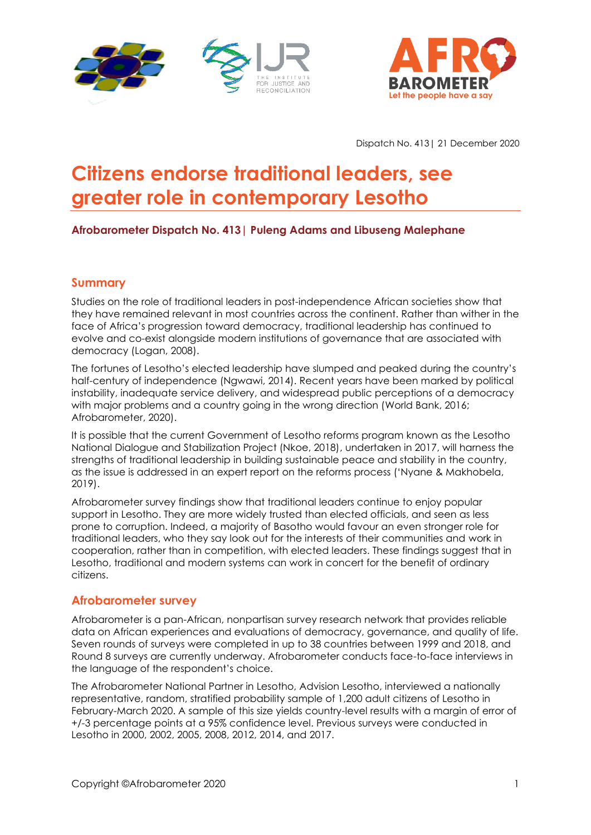



Dispatch No. 413| 21 December 2020

# **Citizens endorse traditional leaders, see greater role in contemporary Lesotho**

## **Afrobarometer Dispatch No. 413| Puleng Adams and Libuseng Malephane**

## **Summary**

Studies on the role of traditional leaders in post-independence African societies show that they have remained relevant in most countries across the continent. Rather than wither in the face of Africa's progression toward democracy, traditional leadership has continued to evolve and co-exist alongside modern institutions of governance that are associated with democracy (Logan, 2008).

The fortunes of Lesotho's elected leadership have slumped and peaked during the country's half-century of independence (Ngwawi, 2014). Recent years have been marked by political instability, inadequate service delivery, and widespread public perceptions of a democracy with major problems and a country going in the wrong direction (World Bank, 2016; Afrobarometer, 2020).

It is possible that the current Government of Lesotho reforms program known as the Lesotho National Dialogue and Stabilization Project (Nkoe, 2018), undertaken in 2017, will harness the strengths of traditional leadership in building sustainable peace and stability in the country, as the issue is addressed in an expert report on the reforms process ('Nyane & Makhobela, 2019).

Afrobarometer survey findings show that traditional leaders continue to enjoy popular support in Lesotho. They are more widely trusted than elected officials, and seen as less prone to corruption. Indeed, a majority of Basotho would favour an even stronger role for traditional leaders, who they say look out for the interests of their communities and work in cooperation, rather than in competition, with elected leaders. These findings suggest that in Lesotho, traditional and modern systems can work in concert for the benefit of ordinary citizens.

## **Afrobarometer survey**

Afrobarometer is a pan-African, nonpartisan survey research network that provides reliable data on African experiences and evaluations of democracy, governance, and quality of life. Seven rounds of surveys were completed in up to 38 countries between 1999 and 2018, and Round 8 surveys are currently underway. Afrobarometer conducts face-to-face interviews in the language of the respondent's choice.

The Afrobarometer National Partner in Lesotho, Advision Lesotho, interviewed a nationally representative, random, stratified probability sample of 1,200 adult citizens of Lesotho in February-March 2020. A sample of this size yields country-level results with a margin of error of +/-3 percentage points at a 95% confidence level. Previous surveys were conducted in Lesotho in 2000, 2002, 2005, 2008, 2012, 2014, and 2017.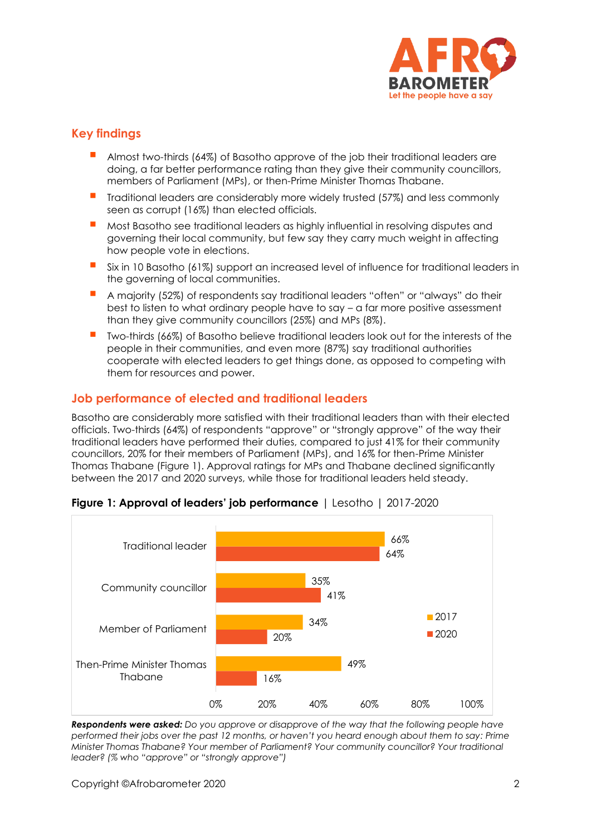

# **Key findings**

- Almost two-thirds (64%) of Basotho approve of the job their traditional leaders are doing, a far better performance rating than they give their community councillors, members of Parliament (MPs), or then-Prime Minister Thomas Thabane.
- Traditional leaders are considerably more widely trusted (57%) and less commonly seen as corrupt (16%) than elected officials.
- Most Basotho see traditional leaders as highly influential in resolving disputes and governing their local community, but few say they carry much weight in affecting how people vote in elections.
- Six in 10 Basotho (61%) support an increased level of influence for traditional leaders in the governing of local communities.
- A majority (52%) of respondents say traditional leaders "often" or "always" do their best to listen to what ordinary people have to say – a far more positive assessment than they give community councillors (25%) and MPs (8%).
- Two-thirds (66%) of Basotho believe traditional leaders look out for the interests of the people in their communities, and even more (87%) say traditional authorities cooperate with elected leaders to get things done, as opposed to competing with them for resources and power.

# **Job performance of elected and traditional leaders**

Basotho are considerably more satisfied with their traditional leaders than with their elected officials. Two-thirds (64%) of respondents "approve" or "strongly approve" of the way their traditional leaders have performed their duties, compared to just 41% for their community councillors, 20% for their members of Parliament (MPs), and 16% for then-Prime Minister Thomas Thabane (Figure 1). Approval ratings for MPs and Thabane declined significantly between the 2017 and 2020 surveys, while those for traditional leaders held steady.



## **Figure 1: Approval of leaders' job performance** | Lesotho | 2017-2020

*Respondents were asked: Do you approve or disapprove of the way that the following people have performed their jobs over the past 12 months, or haven't you heard enough about them to say: Prime Minister Thomas Thabane? Your member of Parliament? Your community councillor? Your traditional leader? (% who "approve" or "strongly approve")*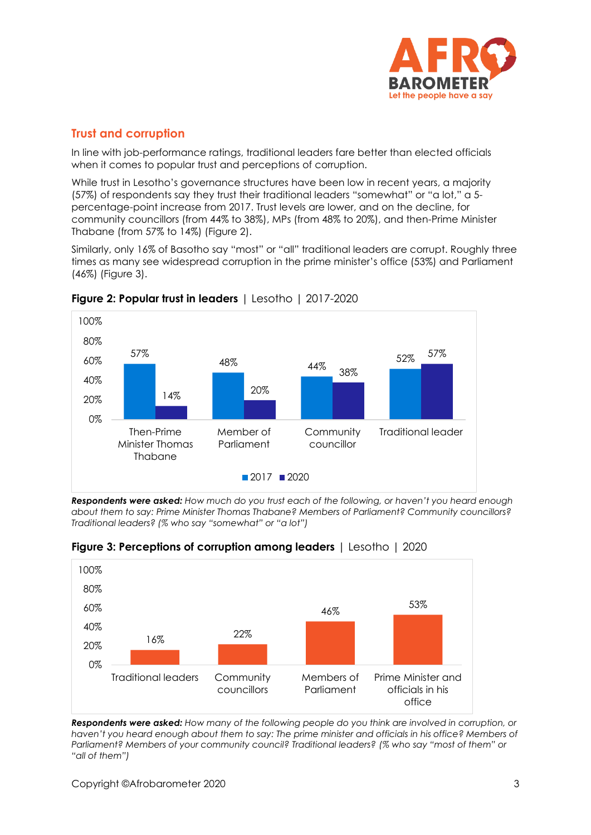

# **Trust and corruption**

In line with job-performance ratings, traditional leaders fare better than elected officials when it comes to popular trust and perceptions of corruption.

While trust in Lesotho's governance structures have been low in recent years, a majority (57%) of respondents say they trust their traditional leaders "somewhat" or "a lot," a 5 percentage-point increase from 2017. Trust levels are lower, and on the decline, for community councillors (from 44% to 38%), MPs (from 48% to 20%), and then-Prime Minister Thabane (from 57% to 14%) (Figure 2).

Similarly, only 16% of Basotho say "most" or "all" traditional leaders are corrupt. Roughly three times as many see widespread corruption in the prime minister's office (53%) and Parliament (46%) (Figure 3).



**Figure 2: Popular trust in leaders** | Lesotho | 2017-2020

*Respondents were asked: How much do you trust each of the following, or haven't you heard enough about them to say: Prime Minister Thomas Thabane? Members of Parliament? Community councillors? Traditional leaders? (% who say "somewhat" or "a lot")*



**Figure 3: Perceptions of corruption among leaders** | Lesotho | 2020

*Respondents were asked: How many of the following people do you think are involved in corruption, or haven't you heard enough about them to say: The prime minister and officials in his office? Members of Parliament? Members of your community council? Traditional leaders? (% who say "most of them" or "all of them")*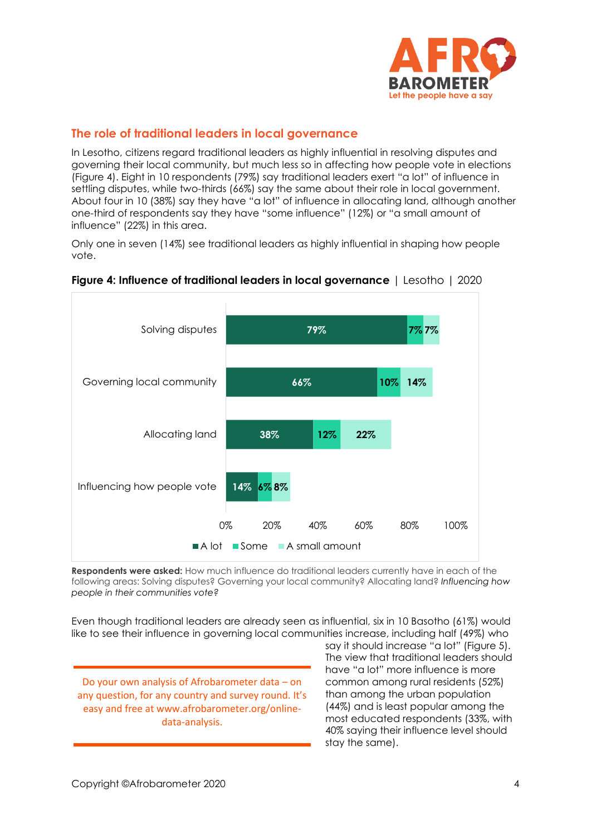

# **The role of traditional leaders in local governance**

In Lesotho, citizens regard traditional leaders as highly influential in resolving disputes and governing their local community, but much less so in affecting how people vote in elections (Figure 4). Eight in 10 respondents (79%) say traditional leaders exert "a lot" of influence in settling disputes, while two-thirds (66%) say the same about their role in local government. About four in 10 (38%) say they have "a lot" of influence in allocating land, although another one-third of respondents say they have "some influence" (12%) or "a small amount of influence" (22%) in this area.

Only one in seven (14%) see traditional leaders as highly influential in shaping how people vote.



#### **Figure 4: Influence of traditional leaders in local governance** | Lesotho | 2020

**Respondents were asked:** How much influence do traditional leaders currently have in each of the following areas: Solving disputes? Governing your local community? Allocating land? *Influencing how people in their communities vote?*

Even though traditional leaders are already seen as influential, six in 10 Basotho (61%) would like to see their influence in governing local communities increase, including half (49%) who

Do your own analysis of Afrobarometer data – on any question, for any country and survey round. It's easy and free at www.afrobarometer.org/onlinedata-analysis.

say it should increase "a lot" (Figure 5). The view that traditional leaders should have "a lot" more influence is more common among rural residents (52%) than among the urban population (44%) and is least popular among the most educated respondents (33%, with 40% saying their influence level should stay the same).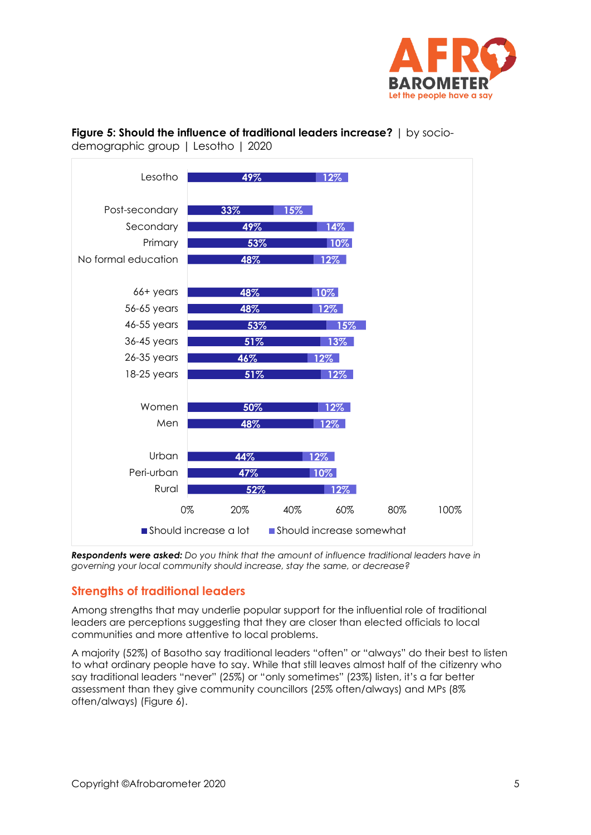

### **Figure 5: Should the influence of traditional leaders increase?** | by sociodemographic group | Lesotho | 2020



*Respondents were asked: Do you think that the amount of influence traditional leaders have in governing your local community should increase, stay the same, or decrease?*

# **Strengths of traditional leaders**

Among strengths that may underlie popular support for the influential role of traditional leaders are perceptions suggesting that they are closer than elected officials to local communities and more attentive to local problems.

A majority (52%) of Basotho say traditional leaders "often" or "always" do their best to listen to what ordinary people have to say. While that still leaves almost half of the citizenry who say traditional leaders "never" (25%) or "only sometimes" (23%) listen, it's a far better assessment than they give community councillors (25% often/always) and MPs (8% often/always) (Figure 6).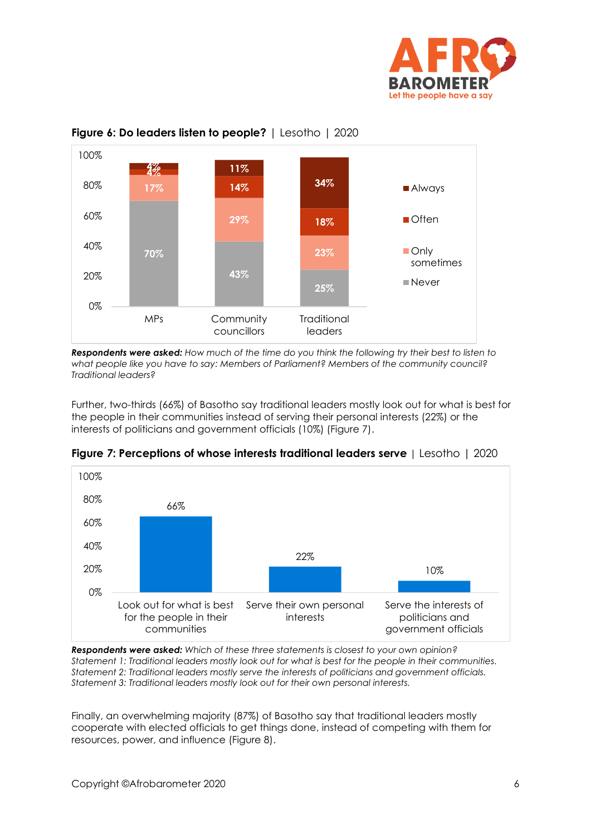



#### **Figure 6: Do leaders listen to people?** | Lesotho | 2020

*Respondents were asked: How much of the time do you think the following try their best to listen to what people like you have to say: Members of Parliament? Members of the community council? Traditional leaders?*

Further, two-thirds (66%) of Basotho say traditional leaders mostly look out for what is best for the people in their communities instead of serving their personal interests (22%) or the interests of politicians and government officials (10%) (Figure 7).



**Figure** *7***: Perceptions of whose interest***s* **traditional leaders serve** | Lesotho | 2020

*Respondents were asked: Which of these three statements is closest to your own opinion? Statement 1: Traditional leaders mostly look out for what is best for the people in their communities. Statement 2: Traditional leaders mostly serve the interests of politicians and government officials. Statement 3: Traditional leaders mostly look out for their own personal interests.*

Finally, an overwhelming majority (87%) of Basotho say that traditional leaders mostly cooperate with elected officials to get things done, instead of competing with them for resources, power, and influence (Figure 8).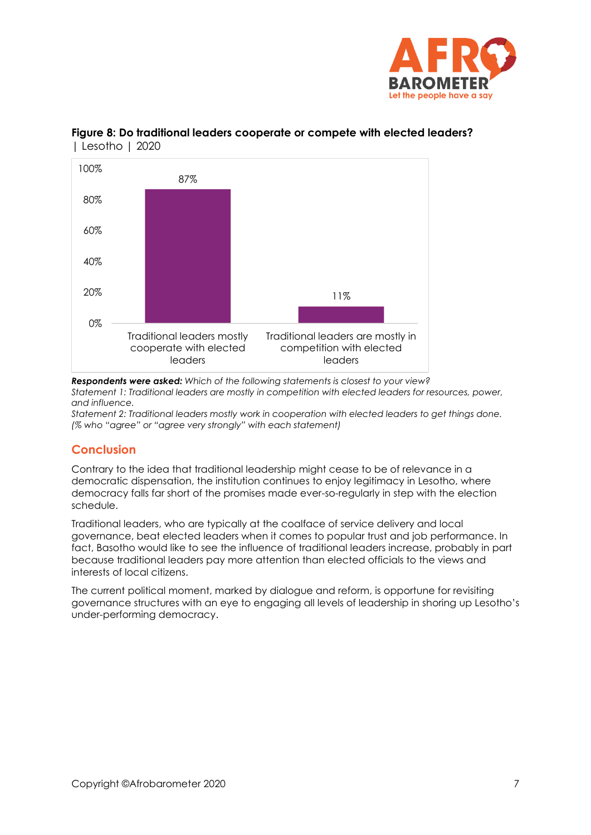



## **Figure 8: Do traditional leaders cooperate or compete with elected leaders?**  | Lesotho | 2020

*Respondents were asked: Which of the following statements is closest to your view? Statement 1: Traditional leaders are mostly in competition with elected leaders for resources, power, and influence.*

*Statement 2: Traditional leaders mostly work in cooperation with elected leaders to get things done. (% who "agree" or "agree very strongly" with each statement)*

# **Conclusion**

Contrary to the idea that traditional leadership might cease to be of relevance in a democratic dispensation, the institution continues to enjoy legitimacy in Lesotho, where democracy falls far short of the promises made ever-so-regularly in step with the election schedule.

Traditional leaders, who are typically at the coalface of service delivery and local governance, beat elected leaders when it comes to popular trust and job performance. In fact, Basotho would like to see the influence of traditional leaders increase, probably in part because traditional leaders pay more attention than elected officials to the views and interests of local citizens.

The current political moment, marked by dialogue and reform, is opportune for revisiting governance structures with an eye to engaging all levels of leadership in shoring up Lesotho's under-performing democracy.